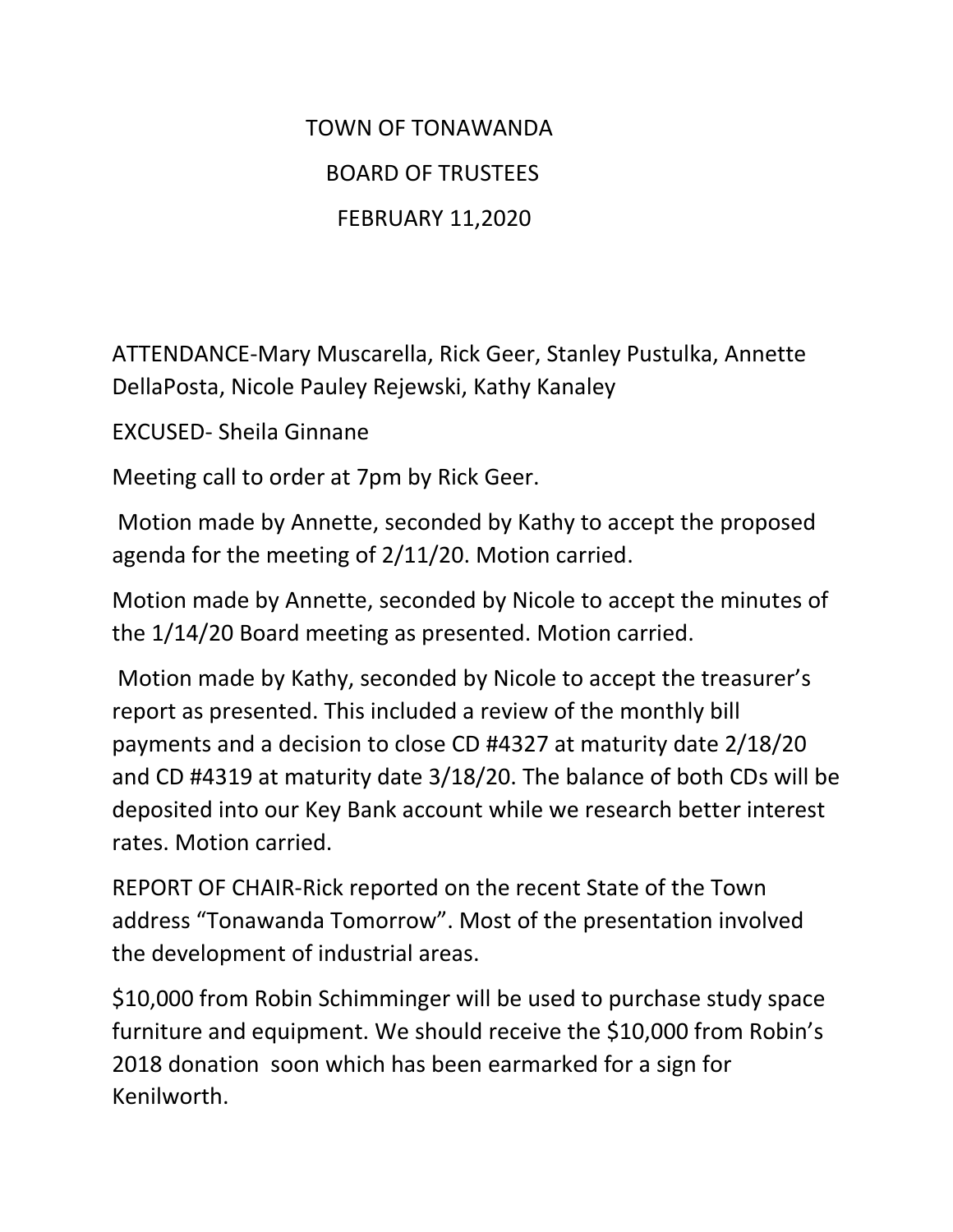## TOWN OF TONAWANDA BOARD OF TRUSTEES FEBRUARY 11,2020

ATTENDANCE-Mary Muscarella, Rick Geer, Stanley Pustulka, Annette DellaPosta, Nicole Pauley Rejewski, Kathy Kanaley

EXCUSED- Sheila Ginnane

Meeting call to order at 7pm by Rick Geer.

Motion made by Annette, seconded by Kathy to accept the proposed agenda for the meeting of 2/11/20. Motion carried.

Motion made by Annette, seconded by Nicole to accept the minutes of the 1/14/20 Board meeting as presented. Motion carried.

Motion made by Kathy, seconded by Nicole to accept the treasurer's report as presented. This included a review of the monthly bill payments and a decision to close CD #4327 at maturity date 2/18/20 and CD #4319 at maturity date 3/18/20. The balance of both CDs will be deposited into our Key Bank account while we research better interest rates. Motion carried.

REPORT OF CHAIR-Rick reported on the recent State of the Town address "Tonawanda Tomorrow". Most of the presentation involved the development of industrial areas.

\$10,000 from Robin Schimminger will be used to purchase study space furniture and equipment. We should receive the \$10,000 from Robin's 2018 donation soon which has been earmarked for a sign for Kenilworth.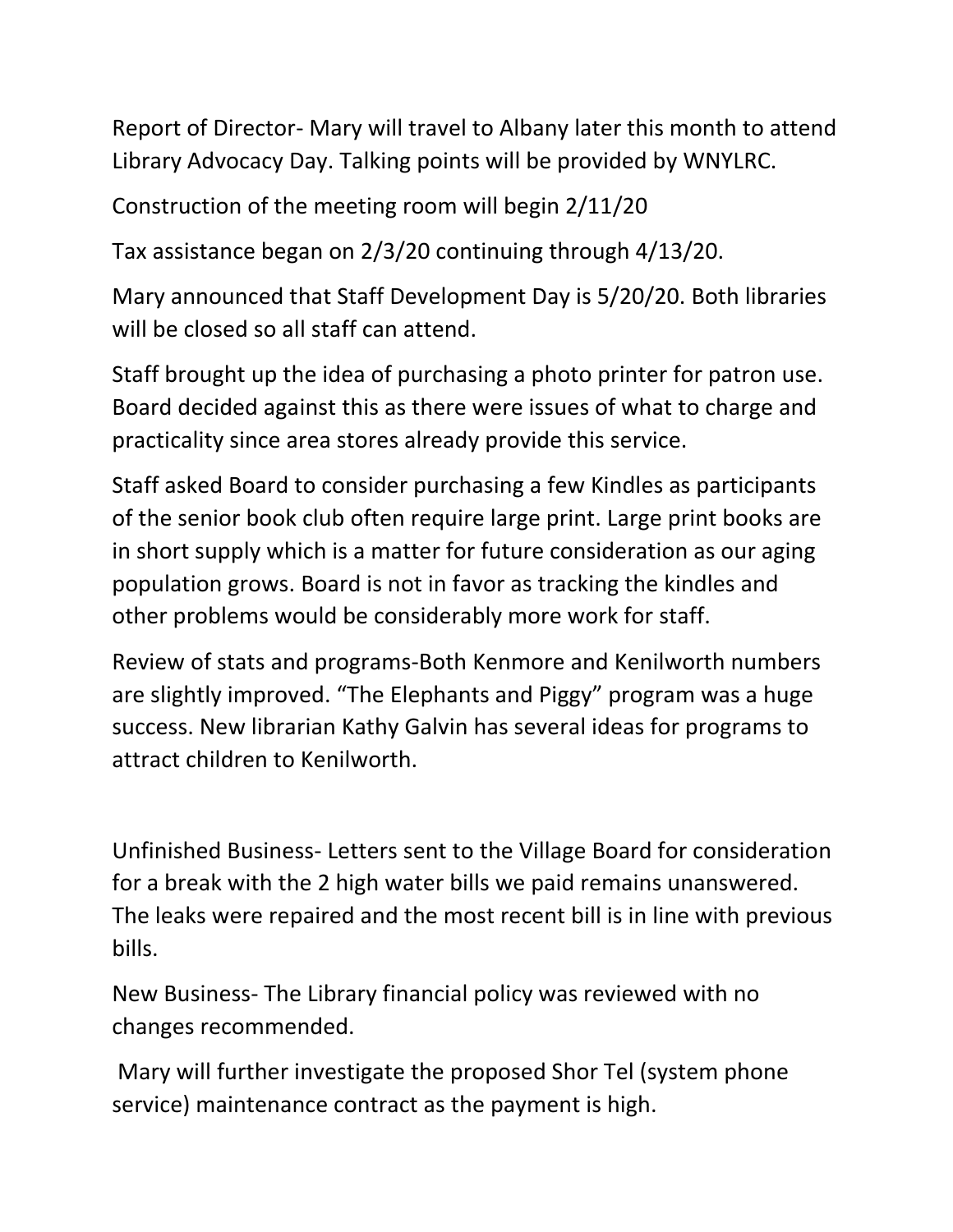Report of Director- Mary will travel to Albany later this month to attend Library Advocacy Day. Talking points will be provided by WNYLRC.

Construction of the meeting room will begin 2/11/20

Tax assistance began on 2/3/20 continuing through 4/13/20.

Mary announced that Staff Development Day is 5/20/20. Both libraries will be closed so all staff can attend.

Staff brought up the idea of purchasing a photo printer for patron use. Board decided against this as there were issues of what to charge and practicality since area stores already provide this service.

Staff asked Board to consider purchasing a few Kindles as participants of the senior book club often require large print. Large print books are in short supply which is a matter for future consideration as our aging population grows. Board is not in favor as tracking the kindles and other problems would be considerably more work for staff.

Review of stats and programs-Both Kenmore and Kenilworth numbers are slightly improved. "The Elephants and Piggy" program was a huge success. New librarian Kathy Galvin has several ideas for programs to attract children to Kenilworth.

Unfinished Business- Letters sent to the Village Board for consideration for a break with the 2 high water bills we paid remains unanswered. The leaks were repaired and the most recent bill is in line with previous bills.

New Business- The Library financial policy was reviewed with no changes recommended.

Mary will further investigate the proposed Shor Tel (system phone service) maintenance contract as the payment is high.